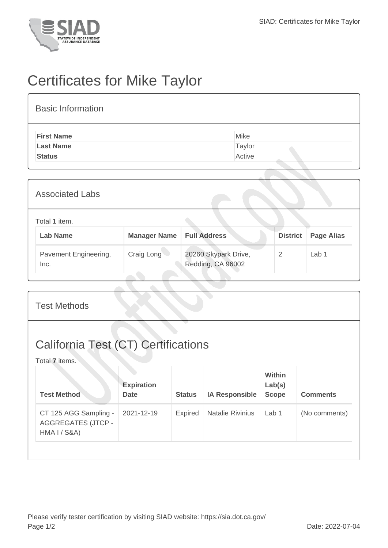

## Certificates for Mike Taylor

| <b>Basic Information</b> |        |
|--------------------------|--------|
| <b>First Name</b>        | Mike   |
| <b>Last Name</b>         | Taylor |
| <b>Status</b>            | Active |

| <b>Associated Labs</b>           |                     |                                           |                 |                   |  |
|----------------------------------|---------------------|-------------------------------------------|-----------------|-------------------|--|
| Total 1 item.<br><b>Lab Name</b> | <b>Manager Name</b> | <b>Full Address</b>                       | <b>District</b> | <b>Page Alias</b> |  |
| Pavement Engineering,<br>Inc.    | Craig Long          | 20260 Skypark Drive,<br>Redding, CA 96002 | 2               | Lab <sub>1</sub>  |  |

| <b>Test Methods</b>                                                |                                  |                |                         |                                         |                 |  |
|--------------------------------------------------------------------|----------------------------------|----------------|-------------------------|-----------------------------------------|-----------------|--|
| <b>California Test (CT) Certifications</b><br>Total 7 items.       |                                  |                |                         |                                         |                 |  |
| <b>Test Method</b>                                                 | <b>Expiration</b><br><b>Date</b> | <b>Status</b>  | <b>IA Responsible</b>   | <b>Within</b><br>Lab(s)<br><b>Scope</b> | <b>Comments</b> |  |
| CT 125 AGG Sampling -<br><b>AGGREGATES (JTCP -</b><br>HMA I / S8A) | 2021-12-19                       | <b>Expired</b> | <b>Natalie Rivinius</b> | Lab 1                                   | (No comments)   |  |